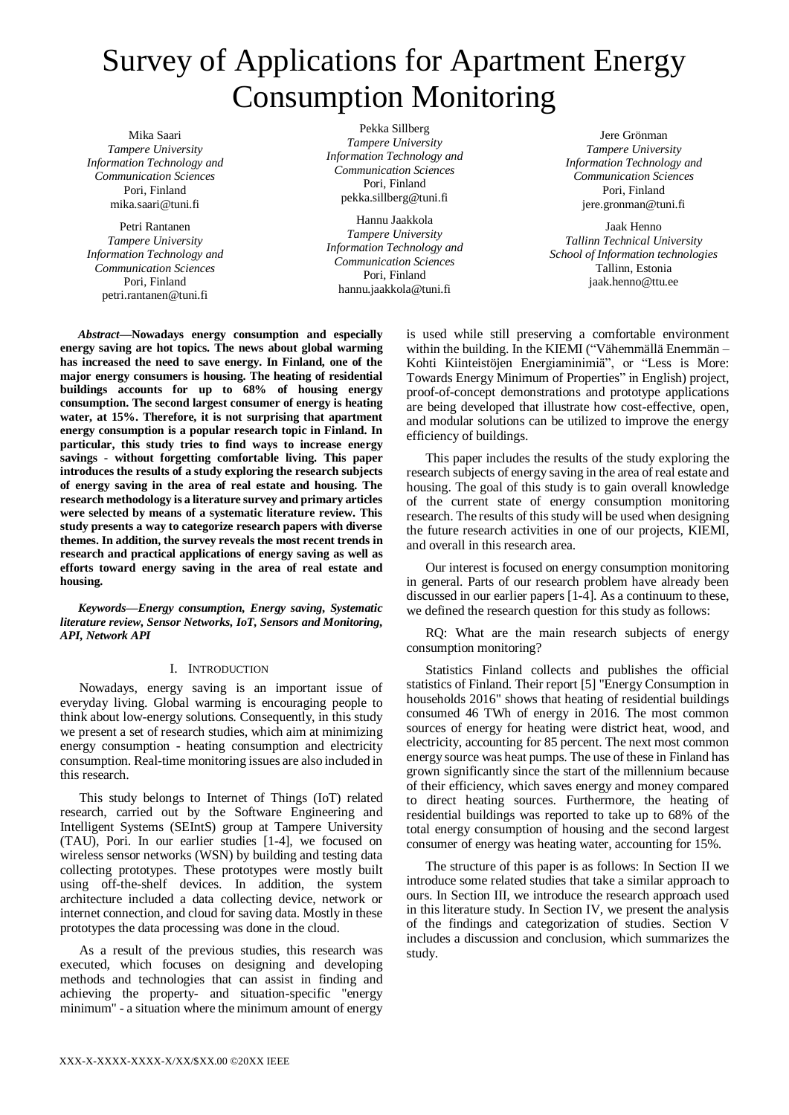# Survey of Applications for Apartment Energy Consumption Monitoring

Mika Saari *Tampere University Information Technology and Communication Sciences* Pori, Finland mika.saari@tuni.fi

Petri Rantanen *Tampere University Information Technology and Communication Sciences* Pori, Finland petri.rantanen@tuni.fi

Pekka Sillberg *Tampere University Information Technology and Communication Sciences* Pori, Finland pekka.sillberg@tuni.fi

Hannu Jaakkola *Tampere University Information Technology and Communication Sciences* Pori, Finland hannu.jaakkola@tuni.fi

Jere Grönman *Tampere University Information Technology and Communication Sciences* Pori, Finland jere.gronman@tuni.fi

Jaak Henno *Tallinn Technical University School of Information technologies* Tallinn, Estonia jaak.henno@ttu.ee

*Abstract***—Nowadays energy consumption and especially energy saving are hot topics. The news about global warming has increased the need to save energy. In Finland, one of the major energy consumers is housing. The heating of residential buildings accounts for up to 68% of housing energy consumption. The second largest consumer of energy is heating water, at 15%. Therefore, it is not surprising that apartment energy consumption is a popular research topic in Finland. In particular, this study tries to find ways to increase energy savings - without forgetting comfortable living. This paper introduces the results of a study exploring the research subjects of energy saving in the area of real estate and housing. The research methodology is a literature survey and primary articles were selected by means of a systematic literature review. This study presents a way to categorize research papers with diverse themes. In addition, the survey reveals the most recent trends in research and practical applications of energy saving as well as efforts toward energy saving in the area of real estate and housing.**

*Keywords—Energy consumption, Energy saving, Systematic literature review, Sensor Networks, IoT, Sensors and Monitoring, API, Network API*

# I. INTRODUCTION

Nowadays, energy saving is an important issue of everyday living. Global warming is encouraging people to think about low-energy solutions. Consequently, in this study we present a set of research studies, which aim at minimizing energy consumption - heating consumption and electricity consumption. Real-time monitoring issues are also included in this research.

This study belongs to Internet of Things (IoT) related research, carried out by the Software Engineering and Intelligent Systems (SEIntS) group at Tampere University (TAU), Pori. In our earlier studies [1-4], we focused on wireless sensor networks (WSN) by building and testing data collecting prototypes. These prototypes were mostly built using off-the-shelf devices. In addition, the system architecture included a data collecting device, network or internet connection, and cloud for saving data. Mostly in these prototypes the data processing was done in the cloud.

As a result of the previous studies, this research was executed, which focuses on designing and developing methods and technologies that can assist in finding and achieving the property- and situation-specific "energy minimum" - a situation where the minimum amount of energy

is used while still preserving a comfortable environment within the building. In the KIEMI ("Vähemmällä Enemmän – Kohti Kiinteistöjen Energiaminimiä", or "Less is More: Towards Energy Minimum of Properties" in English) project, proof-of-concept demonstrations and prototype applications are being developed that illustrate how cost-effective, open, and modular solutions can be utilized to improve the energy efficiency of buildings.

This paper includes the results of the study exploring the research subjects of energy saving in the area of real estate and housing. The goal of this study is to gain overall knowledge of the current state of energy consumption monitoring research. The results of this study will be used when designing the future research activities in one of our projects, KIEMI, and overall in this research area.

Our interest is focused on energy consumption monitoring in general. Parts of our research problem have already been discussed in our earlier papers [1-4]. As a continuum to these, we defined the research question for this study as follows:

RQ: What are the main research subjects of energy consumption monitoring?

Statistics Finland collects and publishes the official statistics of Finland. Their report [5] "Energy Consumption in households 2016" shows that heating of residential buildings consumed 46 TWh of energy in 2016. The most common sources of energy for heating were district heat, wood, and electricity, accounting for 85 percent. The next most common energy source was heat pumps. The use of these in Finland has grown significantly since the start of the millennium because of their efficiency, which saves energy and money compared to direct heating sources. Furthermore, the heating of residential buildings was reported to take up to 68% of the total energy consumption of housing and the second largest consumer of energy was heating water, accounting for 15%.

The structure of this paper is as follows: In Section II we introduce some related studies that take a similar approach to ours. In Section III, we introduce the research approach used in this literature study. In Section IV, we present the analysis of the findings and categorization of studies. Section V includes a discussion and conclusion, which summarizes the study.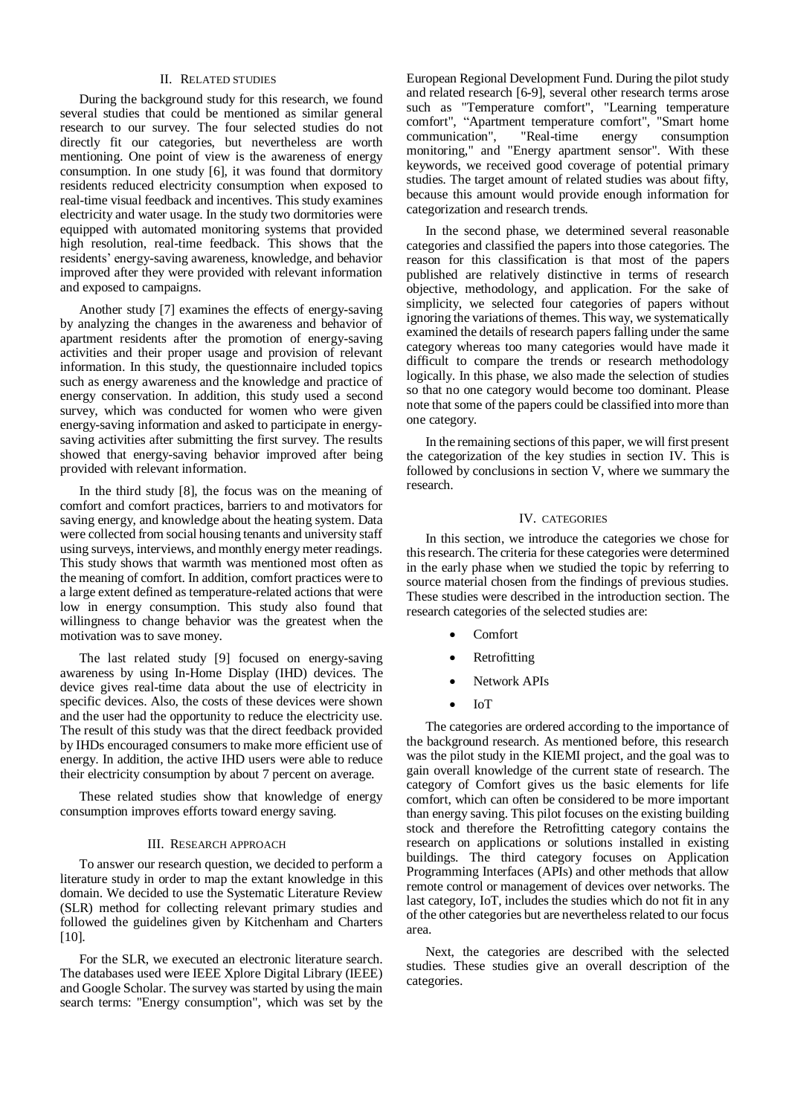## II. RELATED STUDIES

During the background study for this research, we found several studies that could be mentioned as similar general research to our survey. The four selected studies do not directly fit our categories, but nevertheless are worth mentioning. One point of view is the awareness of energy consumption. In one study [6], it was found that dormitory residents reduced electricity consumption when exposed to real-time visual feedback and incentives. This study examines electricity and water usage. In the study two dormitories were equipped with automated monitoring systems that provided high resolution, real-time feedback. This shows that the residents' energy-saving awareness, knowledge, and behavior improved after they were provided with relevant information and exposed to campaigns.

Another study [7] examines the effects of energy-saving by analyzing the changes in the awareness and behavior of apartment residents after the promotion of energy-saving activities and their proper usage and provision of relevant information. In this study, the questionnaire included topics such as energy awareness and the knowledge and practice of energy conservation. In addition, this study used a second survey, which was conducted for women who were given energy-saving information and asked to participate in energysaving activities after submitting the first survey. The results showed that energy-saving behavior improved after being provided with relevant information.

In the third study [8], the focus was on the meaning of comfort and comfort practices, barriers to and motivators for saving energy, and knowledge about the heating system. Data were collected from social housing tenants and university staff using surveys, interviews, and monthly energy meter readings. This study shows that warmth was mentioned most often as the meaning of comfort. In addition, comfort practices were to a large extent defined as temperature-related actions that were low in energy consumption. This study also found that willingness to change behavior was the greatest when the motivation was to save money.

The last related study [9] focused on energy-saving awareness by using In-Home Display (IHD) devices. The device gives real-time data about the use of electricity in specific devices. Also, the costs of these devices were shown and the user had the opportunity to reduce the electricity use. The result of this study was that the direct feedback provided by IHDs encouraged consumers to make more efficient use of energy. In addition, the active IHD users were able to reduce their electricity consumption by about 7 percent on average.

These related studies show that knowledge of energy consumption improves efforts toward energy saving.

## III. RESEARCH APPROACH

To answer our research question, we decided to perform a literature study in order to map the extant knowledge in this domain. We decided to use the Systematic Literature Review (SLR) method for collecting relevant primary studies and followed the guidelines given by Kitchenham and Charters [10].

For the SLR, we executed an electronic literature search. The databases used were IEEE Xplore Digital Library (IEEE) and Google Scholar. The survey was started by using the main search terms: "Energy consumption", which was set by the

European Regional Development Fund. During the pilot study and related research [6-9], several other research terms arose such as "Temperature comfort", "Learning temperature comfort", "Apartment temperature comfort", "Smart home communication", "Real-time energy consumption monitoring," and "Energy apartment sensor". With these keywords, we received good coverage of potential primary studies. The target amount of related studies was about fifty, because this amount would provide enough information for categorization and research trends.

In the second phase, we determined several reasonable categories and classified the papers into those categories. The reason for this classification is that most of the papers published are relatively distinctive in terms of research objective, methodology, and application. For the sake of simplicity, we selected four categories of papers without ignoring the variations of themes. This way, we systematically examined the details of research papers falling under the same category whereas too many categories would have made it difficult to compare the trends or research methodology logically. In this phase, we also made the selection of studies so that no one category would become too dominant. Please note that some of the papers could be classified into more than one category.

In the remaining sections of this paper, we will first present the categorization of the key studies in section IV. This is followed by conclusions in section V, where we summary the research.

#### IV. CATEGORIES

In this section, we introduce the categories we chose for this research. The criteria for these categories were determined in the early phase when we studied the topic by referring to source material chosen from the findings of previous studies. These studies were described in the introduction section. The research categories of the selected studies are:

- Comfort
- Retrofitting
- Network APIs
- IoT

The categories are ordered according to the importance of the background research. As mentioned before, this research was the pilot study in the KIEMI project, and the goal was to gain overall knowledge of the current state of research. The category of Comfort gives us the basic elements for life comfort, which can often be considered to be more important than energy saving. This pilot focuses on the existing building stock and therefore the Retrofitting category contains the research on applications or solutions installed in existing buildings. The third category focuses on Application Programming Interfaces (APIs) and other methods that allow remote control or management of devices over networks. The last category, IoT, includes the studies which do not fit in any of the other categories but are nevertheless related to our focus area.

Next, the categories are described with the selected studies. These studies give an overall description of the categories.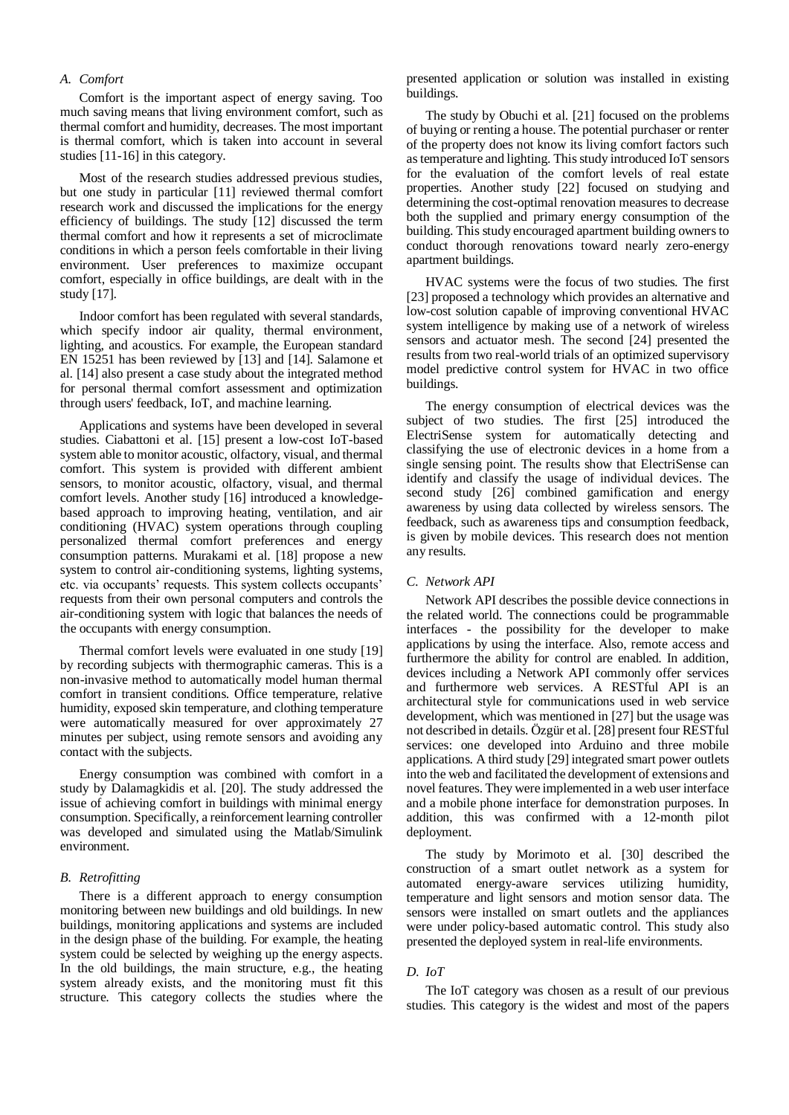# *A. Comfort*

Comfort is the important aspect of energy saving. Too much saving means that living environment comfort, such as thermal comfort and humidity, decreases. The most important is thermal comfort, which is taken into account in several studies [11-16] in this category.

Most of the research studies addressed previous studies, but one study in particular [11] reviewed thermal comfort research work and discussed the implications for the energy efficiency of buildings. The study [12] discussed the term thermal comfort and how it represents a set of microclimate conditions in which a person feels comfortable in their living environment. User preferences to maximize occupant comfort, especially in office buildings, are dealt with in the study [17].

Indoor comfort has been regulated with several standards, which specify indoor air quality, thermal environment, lighting, and acoustics. For example, the European standard EN 15251 has been reviewed by [13] and [14]. Salamone et al. [14] also present a case study about the integrated method for personal thermal comfort assessment and optimization through users' feedback, IoT, and machine learning.

Applications and systems have been developed in several studies. Ciabattoni et al. [15] present a low-cost IoT-based system able to monitor acoustic, olfactory, visual, and thermal comfort. This system is provided with different ambient sensors, to monitor acoustic, olfactory, visual, and thermal comfort levels. Another study [16] introduced a knowledgebased approach to improving heating, ventilation, and air conditioning (HVAC) system operations through coupling personalized thermal comfort preferences and energy consumption patterns. Murakami et al. [18] propose a new system to control air-conditioning systems, lighting systems, etc. via occupants' requests. This system collects occupants' requests from their own personal computers and controls the air-conditioning system with logic that balances the needs of the occupants with energy consumption.

Thermal comfort levels were evaluated in one study [19] by recording subjects with thermographic cameras. This is a non-invasive method to automatically model human thermal comfort in transient conditions. Office temperature, relative humidity, exposed skin temperature, and clothing temperature were automatically measured for over approximately 27 minutes per subject, using remote sensors and avoiding any contact with the subjects.

Energy consumption was combined with comfort in a study by Dalamagkidis et al. [20]. The study addressed the issue of achieving comfort in buildings with minimal energy consumption. Specifically, a reinforcement learning controller was developed and simulated using the Matlab/Simulink environment.

# *B. Retrofitting*

There is a different approach to energy consumption monitoring between new buildings and old buildings. In new buildings, monitoring applications and systems are included in the design phase of the building. For example, the heating system could be selected by weighing up the energy aspects. In the old buildings, the main structure, e.g., the heating system already exists, and the monitoring must fit this structure. This category collects the studies where the

presented application or solution was installed in existing buildings.

The study by Obuchi et al. [21] focused on the problems of buying or renting a house. The potential purchaser or renter of the property does not know its living comfort factors such as temperature and lighting. This study introduced IoT sensors for the evaluation of the comfort levels of real estate properties. Another study [22] focused on studying and determining the cost-optimal renovation measures to decrease both the supplied and primary energy consumption of the building. This study encouraged apartment building owners to conduct thorough renovations toward nearly zero-energy apartment buildings.

HVAC systems were the focus of two studies. The first [23] proposed a technology which provides an alternative and low-cost solution capable of improving conventional HVAC system intelligence by making use of a network of wireless sensors and actuator mesh. The second [24] presented the results from two real-world trials of an optimized supervisory model predictive control system for HVAC in two office buildings.

The energy consumption of electrical devices was the subject of two studies. The first [25] introduced the ElectriSense system for automatically detecting and classifying the use of electronic devices in a home from a single sensing point. The results show that ElectriSense can identify and classify the usage of individual devices. The second study [26] combined gamification and energy awareness by using data collected by wireless sensors. The feedback, such as awareness tips and consumption feedback, is given by mobile devices. This research does not mention any results.

#### *C. Network API*

Network API describes the possible device connections in the related world. The connections could be programmable interfaces - the possibility for the developer to make applications by using the interface. Also, remote access and furthermore the ability for control are enabled. In addition, devices including a Network API commonly offer services and furthermore web services. A RESTful API is an architectural style for communications used in web service development, which was mentioned in [27] but the usage was not described in details. Özgür et al. [28] present four RESTful services: one developed into Arduino and three mobile applications. A third study [29] integrated smart power outlets into the web and facilitated the development of extensions and novel features. They were implemented in a web user interface and a mobile phone interface for demonstration purposes. In addition, this was confirmed with a 12-month pilot deployment.

The study by Morimoto et al. [30] described the construction of a smart outlet network as a system for automated energy-aware services utilizing humidity, temperature and light sensors and motion sensor data. The sensors were installed on smart outlets and the appliances were under policy-based automatic control. This study also presented the deployed system in real-life environments.

#### *D. IoT*

The IoT category was chosen as a result of our previous studies. This category is the widest and most of the papers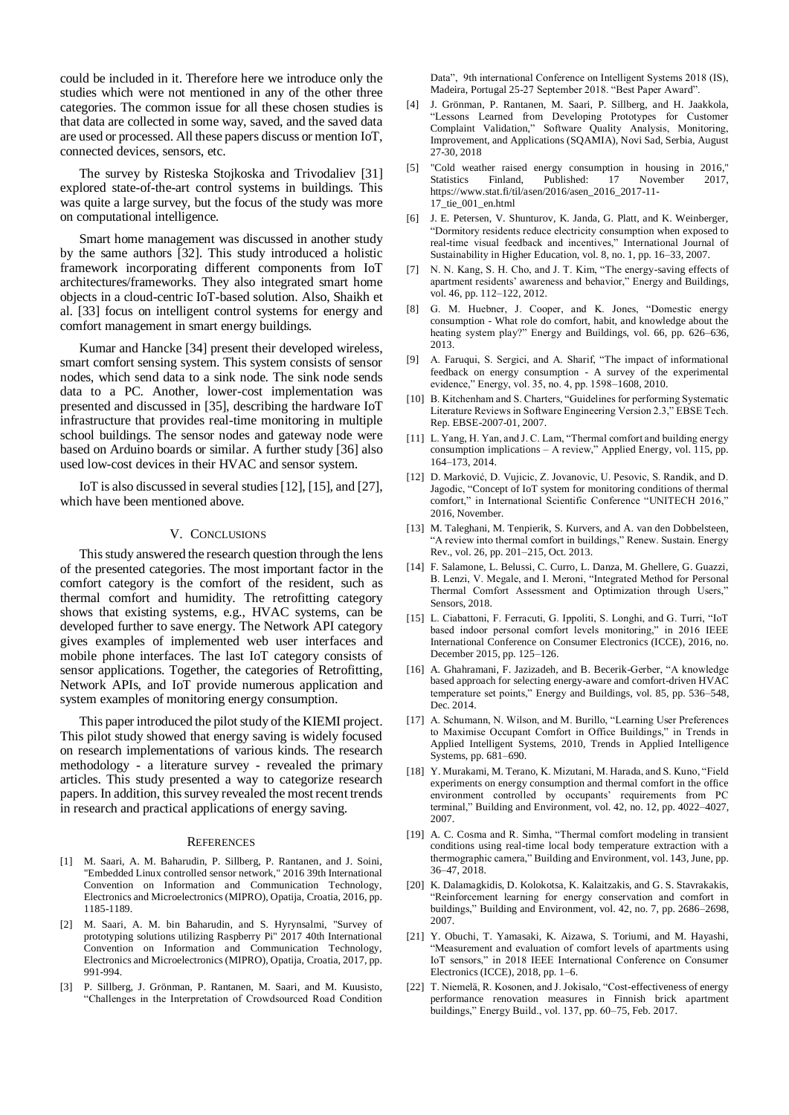could be included in it. Therefore here we introduce only the studies which were not mentioned in any of the other three categories. The common issue for all these chosen studies is that data are collected in some way, saved, and the saved data are used or processed. All these papers discuss or mention IoT, connected devices, sensors, etc.

The survey by Risteska Stojkoska and Trivodaliev [31] explored state-of-the-art control systems in buildings. This was quite a large survey, but the focus of the study was more on computational intelligence.

Smart home management was discussed in another study by the same authors [32]. This study introduced a holistic framework incorporating different components from IoT architectures/frameworks. They also integrated smart home objects in a cloud-centric IoT-based solution. Also, Shaikh et al. [33] focus on intelligent control systems for energy and comfort management in smart energy buildings.

Kumar and Hancke [34] present their developed wireless, smart comfort sensing system. This system consists of sensor nodes, which send data to a sink node. The sink node sends data to a PC. Another, lower-cost implementation was presented and discussed in [35], describing the hardware IoT infrastructure that provides real-time monitoring in multiple school buildings. The sensor nodes and gateway node were based on Arduino boards or similar. A further study [36] also used low-cost devices in their HVAC and sensor system.

IoT is also discussed in several studies [12], [15], and [27], which have been mentioned above.

#### V. CONCLUSIONS

This study answered the research question through the lens of the presented categories. The most important factor in the comfort category is the comfort of the resident, such as thermal comfort and humidity. The retrofitting category shows that existing systems, e.g., HVAC systems, can be developed further to save energy. The Network API category gives examples of implemented web user interfaces and mobile phone interfaces. The last IoT category consists of sensor applications. Together, the categories of Retrofitting, Network APIs, and IoT provide numerous application and system examples of monitoring energy consumption.

This paper introduced the pilot study of the KIEMI project. This pilot study showed that energy saving is widely focused on research implementations of various kinds. The research methodology - a literature survey - revealed the primary articles. This study presented a way to categorize research papers. In addition, this survey revealed the most recent trends in research and practical applications of energy saving.

#### **REFERENCES**

- [1] M. Saari, A. M. Baharudin, P. Sillberg, P. Rantanen, and J. Soini, "Embedded Linux controlled sensor network," 2016 39th International Convention on Information and Communication Technology, Electronics and Microelectronics (MIPRO), Opatija, Croatia, 2016, pp. 1185-1189.
- [2] M. Saari, A. M. bin Baharudin, and S. Hyrynsalmi, "Survey of prototyping solutions utilizing Raspberry Pi" 2017 40th International Convention on Information and Communication Technology, Electronics and Microelectronics (MIPRO), Opatija, Croatia, 2017, pp. 991-994.
- [3] P. Sillberg, J. Grönman, P. Rantanen, M. Saari, and M. Kuusisto, "Challenges in the Interpretation of Crowdsourced Road Condition

Data", 9th international Conference on Intelligent Systems 2018 (IS), Madeira, Portugal 25-27 September 2018. "Best Paper Award".

- [4] J. Grönman, P. Rantanen, M. Saari, P. Sillberg, and H. Jaakkola, "Lessons Learned from Developing Prototypes for Customer Complaint Validation," Software Quality Analysis, Monitoring, Improvement, and Applications (SQAMIA), Novi Sad, Serbia, August 27-30, 2018
- [5] "Cold weather raised energy consumption in housing in 2016," Finland, Published: 17 November 2017, https://www.stat.fi/til/asen/2016/asen\_2016\_2017-11- 17\_tie\_001\_en.html
- [6] J. E. Petersen, V. Shunturov, K. Janda, G. Platt, and K. Weinberger, "Dormitory residents reduce electricity consumption when exposed to real-time visual feedback and incentives," International Journal of Sustainability in Higher Education, vol. 8, no. 1, pp. 16–33, 2007.
- [7] N. N. Kang, S. H. Cho, and J. T. Kim, "The energy-saving effects of apartment residents' awareness and behavior," Energy and Buildings, vol. 46, pp. 112-122, 2012.
- [8] G. M. Huebner, J. Cooper, and K. Jones, "Domestic energy consumption - What role do comfort, habit, and knowledge about the heating system play?" Energy and Buildings, vol. 66, pp. 626–636, 2013.
- [9] A. Faruqui, S. Sergici, and A. Sharif, "The impact of informational feedback on energy consumption - A survey of the experimental evidence," Energy, vol. 35, no. 4, pp. 1598–1608, 2010.
- [10] B. Kitchenham and S. Charters, "Guidelines for performing Systematic Literature Reviews in Software Engineering Version 2.3," EBSE Tech. Rep. EBSE-2007-01, 2007.
- [11] L. Yang, H. Yan, and J. C. Lam, "Thermal comfort and building energy consumption implications – A review," Applied Energy, vol. 115, pp. 164–173, 2014.
- [12] D. Marković, D. Vujicic, Z. Jovanovic, U. Pesovic, S. Randik, and D. Jagodic, "Concept of IoT system for monitoring conditions of thermal comfort," in International Scientific Conference "UNITECH 2016," 2016, November.
- [13] M. Taleghani, M. Tenpierik, S. Kurvers, and A. van den Dobbelsteen, "A review into thermal comfort in buildings," Renew. Sustain. Energy Rev., vol. 26, pp. 201–215, Oct. 2013.
- [14] F. Salamone, L. Belussi, C. Curro, L. Danza, M. Ghellere, G. Guazzi, B. Lenzi, V. Megale, and I. Meroni, "Integrated Method for Personal Thermal Comfort Assessment and Optimization through Users," Sensors, 2018.
- [15] L. Ciabattoni, F. Ferracuti, G. Ippoliti, S. Longhi, and G. Turri, "IoT based indoor personal comfort levels monitoring," in 2016 IEEE International Conference on Consumer Electronics (ICCE), 2016, no. December 2015, pp. 125–126.
- [16] A. Ghahramani, F. Jazizadeh, and B. Becerik-Gerber, "A knowledge based approach for selecting energy-aware and comfort-driven HVAC temperature set points," Energy and Buildings, vol. 85, pp. 536–548, Dec. 2014.
- [17] A. Schumann, N. Wilson, and M. Burillo, "Learning User Preferences to Maximise Occupant Comfort in Office Buildings," in Trends in Applied Intelligent Systems, 2010, Trends in Applied Intelligence Systems, pp. 681–690.
- [18] Y. Murakami, M. Terano, K. Mizutani, M. Harada, and S. Kuno, "Field experiments on energy consumption and thermal comfort in the office environment controlled by occupants' requirements from PC terminal," Building and Environment, vol. 42, no. 12, pp. 4022–4027, 2007.
- [19] A. C. Cosma and R. Simha, "Thermal comfort modeling in transient conditions using real-time local body temperature extraction with a thermographic camera," Building and Environment, vol. 143, June, pp. 36–47, 2018.
- [20] K. Dalamagkidis, D. Kolokotsa, K. Kalaitzakis, and G. S. Stavrakakis, "Reinforcement learning for energy conservation and comfort in buildings," Building and Environment, vol. 42, no. 7, pp. 2686–2698, 2007.
- [21] Y. Obuchi, T. Yamasaki, K. Aizawa, S. Toriumi, and M. Hayashi, "Measurement and evaluation of comfort levels of apartments using IoT sensors," in 2018 IEEE International Conference on Consumer Electronics (ICCE), 2018, pp. 1–6.
- [22] T. Niemelä, R. Kosonen, and J. Jokisalo, "Cost-effectiveness of energy performance renovation measures in Finnish brick apartment buildings," Energy Build., vol. 137, pp. 60–75, Feb. 2017.